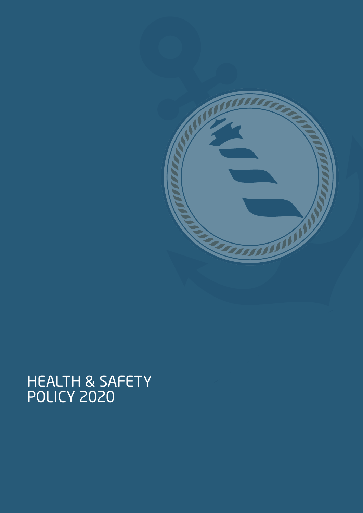# HEALTH & SAFETY<br>POLICY 2020